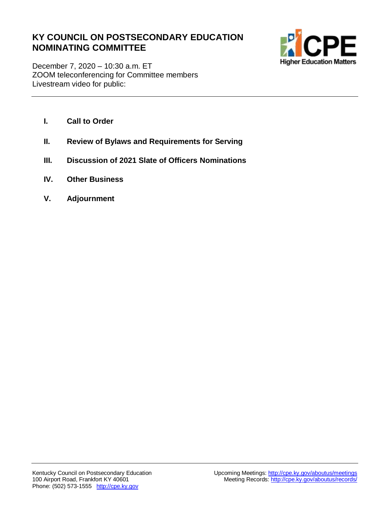## **KY COUNCIL ON POSTSECONDARY EDUCATION NOMINATING COMMITTEE**



December 7, 2020 – 10:30 a.m. ET ZOOM teleconferencing for Committee members Livestream video for public:

- **I. Call to Order**
- **II. Review of Bylaws and Requirements for Serving**
- **III. Discussion of 2021 Slate of Officers Nominations**
- **IV. Other Business**
- **V. Adjournment**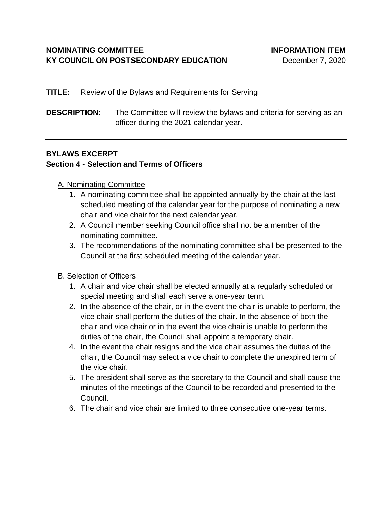#### **TITLE:** Review of the Bylaws and Requirements for Serving

**DESCRIPTION:** The Committee will review the bylaws and criteria for serving as an officer during the 2021 calendar year.

#### **BYLAWS EXCERPT**

#### **Section 4 - Selection and Terms of Officers**

#### A. Nominating Committee

- 1. A nominating committee shall be appointed annually by the chair at the last scheduled meeting of the calendar year for the purpose of nominating a new chair and vice chair for the next calendar year.
- 2. A Council member seeking Council office shall not be a member of the nominating committee.
- 3. The recommendations of the nominating committee shall be presented to the Council at the first scheduled meeting of the calendar year.

### B. Selection of Officers

- 1. A chair and vice chair shall be elected annually at a regularly scheduled or special meeting and shall each serve a one-year term.
- 2. In the absence of the chair, or in the event the chair is unable to perform, the vice chair shall perform the duties of the chair. In the absence of both the chair and vice chair or in the event the vice chair is unable to perform the duties of the chair, the Council shall appoint a temporary chair.
- 4. In the event the chair resigns and the vice chair assumes the duties of the chair, the Council may select a vice chair to complete the unexpired term of the vice chair.
- 5. The president shall serve as the secretary to the Council and shall cause the minutes of the meetings of the Council to be recorded and presented to the Council.
- 6. The chair and vice chair are limited to three consecutive one-year terms.